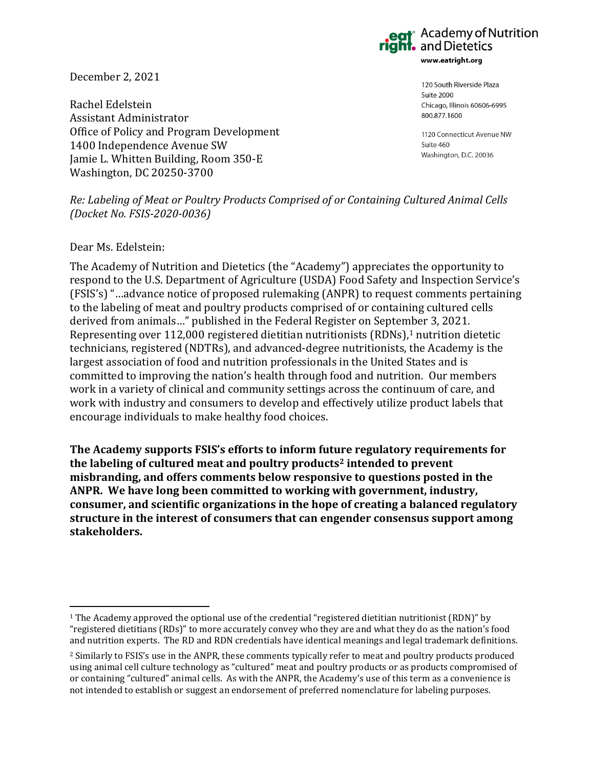and Dietetics www.eatright.org

December 2, 2021

Rachel Edelstein Assistant Administrator Office of Policy and Program Development 1400 Independence Avenue SW Jamie L. Whitten Building, Room 350-E Washington, DC 20250-3700

120 South Riverside Plaza Suite 2000 Chicago, Illinois 60606-6995 800.877.1600

**Academy of Nutrition** 

1120 Connecticut Avenue NW Suite 460 Washington, D.C. 20036

*Re: Labeling of Meat or Poultry Products Comprised of or Containing Cultured Animal Cells (Docket No. FSIS-2020-0036)*

### Dear Ms. Edelstein:

The Academy of Nutrition and Dietetics (the "Academy") appreciates the opportunity to respond to the U.S. Department of Agriculture (USDA) Food Safety and Inspection Service's (FSIS's) "…advance notice of proposed rulemaking (ANPR) to request comments pertaining to the labeling of meat and poultry products comprised of or containing cultured cells derived from animals…" published in the Federal Register on September 3, 2021. Representing over 112,000 registered dietitian nutritionists (RDNs),<sup>1</sup> nutrition dietetic technicians, registered (NDTRs), and advanced-degree nutritionists, the Academy is the largest association of food and nutrition professionals in the United States and is committed to improving the nation's health through food and nutrition. Our members work in a variety of clinical and community settings across the continuum of care, and work with industry and consumers to develop and effectively utilize product labels that encourage individuals to make healthy food choices.

**The Academy supports FSIS's efforts to inform future regulatory requirements for the labeling of cultured meat and poultry products<sup>2</sup> intended to prevent misbranding, and offers comments below responsive to questions posted in the ANPR. We have long been committed to working with government, industry, consumer, and scientific organizations in the hope of creating a balanced regulatory structure in the interest of consumers that can engender consensus support among stakeholders.**

<sup>1</sup> The Academy approved the optional use of the credential "registered dietitian nutritionist (RDN)" by "registered dietitians (RDs)" to more accurately convey who they are and what they do as the nation's food and nutrition experts. The RD and RDN credentials have identical meanings and legal trademark definitions.

<sup>2</sup> Similarly to FSIS's use in the ANPR, these comments typically refer to meat and poultry products produced using animal cell culture technology as "cultured" meat and poultry products or as products compromised of or containing "cultured" animal cells. As with the ANPR, the Academy's use of this term as a convenience is not intended to establish or suggest an endorsement of preferred nomenclature for labeling purposes.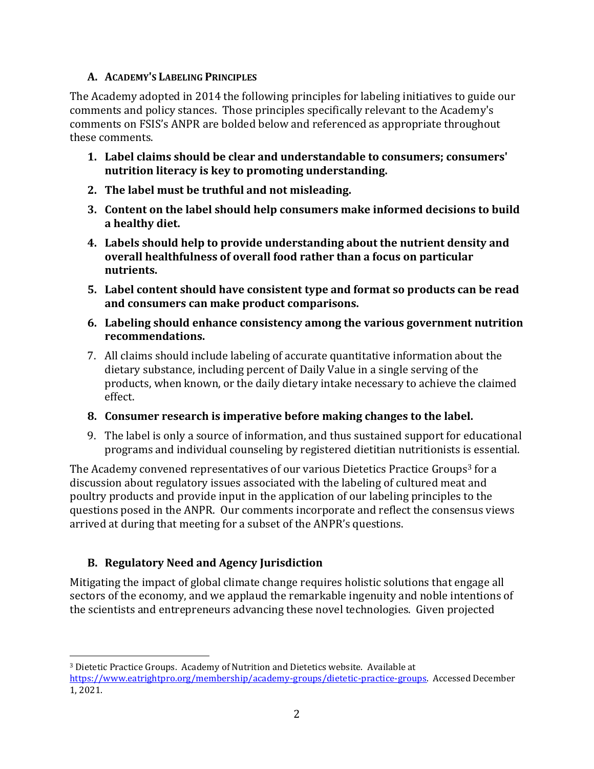## **A. ACADEMY'S LABELING PRINCIPLES**

The Academy adopted in 2014 the following principles for labeling initiatives to guide our comments and policy stances. Those principles specifically relevant to the Academy's comments on FSIS's ANPR are bolded below and referenced as appropriate throughout these comments.

- **1. Label claims should be clear and understandable to consumers; consumers' nutrition literacy is key to promoting understanding.**
- **2. The label must be truthful and not misleading.**
- **3. Content on the label should help consumers make informed decisions to build a healthy diet.**
- **4. Labels should help to provide understanding about the nutrient density and overall healthfulness of overall food rather than a focus on particular nutrients.**
- **5. Label content should have consistent type and format so products can be read and consumers can make product comparisons.**
- **6. Labeling should enhance consistency among the various government nutrition recommendations.**
- 7. All claims should include labeling of accurate quantitative information about the dietary substance, including percent of Daily Value in a single serving of the products, when known, or the daily dietary intake necessary to achieve the claimed effect.
- **8. Consumer research is imperative before making changes to the label.**
- 9. The label is only a source of information, and thus sustained support for educational programs and individual counseling by registered dietitian nutritionists is essential.

The Academy convened representatives of our various Dietetics Practice Groups<sup>3</sup> for a discussion about regulatory issues associated with the labeling of cultured meat and poultry products and provide input in the application of our labeling principles to the questions posed in the ANPR. Our comments incorporate and reflect the consensus views arrived at during that meeting for a subset of the ANPR's questions.

# **B. Regulatory Need and Agency Jurisdiction**

Mitigating the impact of global climate change requires holistic solutions that engage all sectors of the economy, and we applaud the remarkable ingenuity and noble intentions of the scientists and entrepreneurs advancing these novel technologies. Given projected

<sup>3</sup> Dietetic Practice Groups. Academy of Nutrition and Dietetics website. Available at [https://www.eatrightpro.org/membership/academy-groups/dietetic-practice-groups.](https://www.eatrightpro.org/membership/academy-groups/dietetic-practice-groups) Accessed December 1, 2021.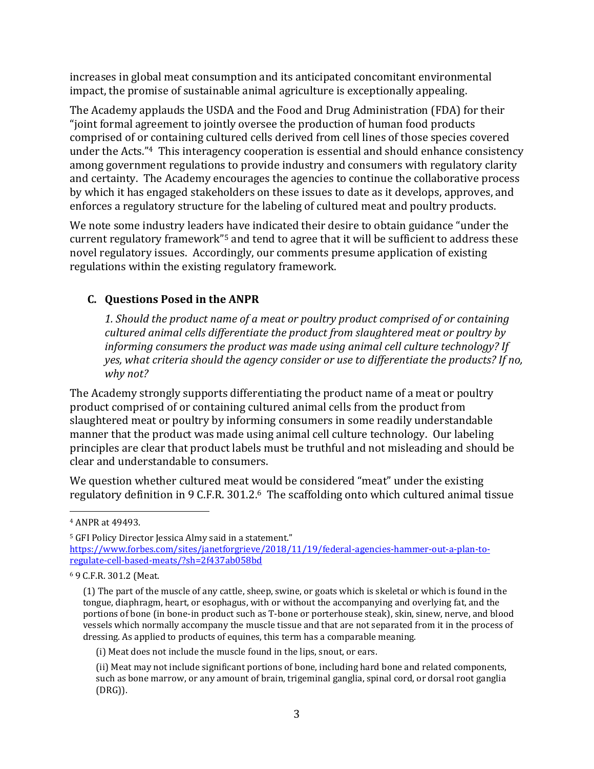increases in global meat consumption and its anticipated concomitant environmental impact, the promise of sustainable animal agriculture is exceptionally appealing.

The Academy applauds the USDA and the Food and Drug Administration (FDA) for their "joint formal agreement to jointly oversee the production of human food products comprised of or containing cultured cells derived from cell lines of those species covered under the Acts." <sup>4</sup> This interagency cooperation is essential and should enhance consistency among government regulations to provide industry and consumers with regulatory clarity and certainty. The Academy encourages the agencies to continue the collaborative process by which it has engaged stakeholders on these issues to date as it develops, approves, and enforces a regulatory structure for the labeling of cultured meat and poultry products.

We note some industry leaders have indicated their desire to obtain guidance "under the current regulatory framework" <sup>5</sup> and tend to agree that it will be sufficient to address these novel regulatory issues. Accordingly, our comments presume application of existing regulations within the existing regulatory framework.

## **C. Questions Posed in the ANPR**

*1. Should the product name of a meat or poultry product comprised of or containing cultured animal cells differentiate the product from slaughtered meat or poultry by informing consumers the product was made using animal cell culture technology? If yes, what criteria should the agency consider or use to differentiate the products? If no, why not?*

The Academy strongly supports differentiating the product name of a meat or poultry product comprised of or containing cultured animal cells from the product from slaughtered meat or poultry by informing consumers in some readily understandable manner that the product was made using animal cell culture technology. Our labeling principles are clear that product labels must be truthful and not misleading and should be clear and understandable to consumers.

We question whether cultured meat would be considered "meat" under the existing regulatory definition in 9 C.F.R. 301.2. <sup>6</sup> The scaffolding onto which cultured animal tissue

<sup>4</sup> ANPR at 49493.

<sup>&</sup>lt;sup>5</sup> GFI Policy Director Jessica Almy said in a statement." [https://www.forbes.com/sites/janetforgrieve/2018/11/19/federal-agencies-hammer-out-a-plan-to](https://www.forbes.com/sites/janetforgrieve/2018/11/19/federal-agencies-hammer-out-a-plan-to-regulate-cell-based-meats/?sh=2f437ab058bd)[regulate-cell-based-meats/?sh=2f437ab058bd](https://www.forbes.com/sites/janetforgrieve/2018/11/19/federal-agencies-hammer-out-a-plan-to-regulate-cell-based-meats/?sh=2f437ab058bd)

<sup>6</sup> 9 C.F.R. 301.2 (Meat.

<sup>(1)</sup> The part of the muscle of any cattle, sheep, swine, or goats which is skeletal or which is found in the tongue, diaphragm, heart, or esophagus, with or without the accompanying and overlying fat, and the portions of bone (in bone-in product such as T-bone or porterhouse steak), skin, sinew, nerve, and blood vessels which normally accompany the muscle tissue and that are not separated from it in the process of dressing. As applied to products of equines, this term has a comparable meaning.

<sup>(</sup>i) Meat does not include the muscle found in the lips, snout, or ears.

<sup>(</sup>ii) Meat may not include significant portions of bone, including hard bone and related components, such as bone marrow, or any amount of brain, trigeminal ganglia, spinal cord, or dorsal root ganglia (DRG)).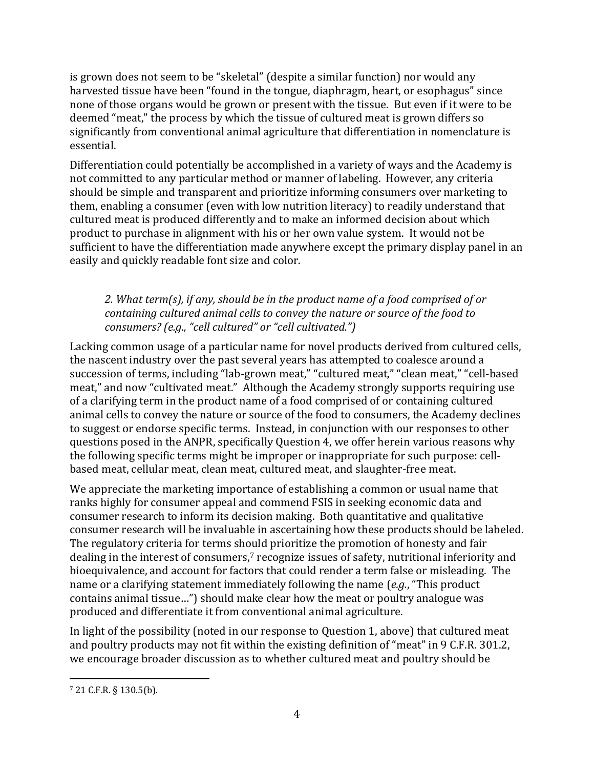is grown does not seem to be "skeletal" (despite a similar function) nor would any harvested tissue have been "found in the tongue, diaphragm, heart, or esophagus" since none of those organs would be grown or present with the tissue. But even if it were to be deemed "meat," the process by which the tissue of cultured meat is grown differs so significantly from conventional animal agriculture that differentiation in nomenclature is essential.

Differentiation could potentially be accomplished in a variety of ways and the Academy is not committed to any particular method or manner of labeling. However, any criteria should be simple and transparent and prioritize informing consumers over marketing to them, enabling a consumer (even with low nutrition literacy) to readily understand that cultured meat is produced differently and to make an informed decision about which product to purchase in alignment with his or her own value system. It would not be sufficient to have the differentiation made anywhere except the primary display panel in an easily and quickly readable font size and color.

### *2. What term(s), if any, should be in the product name of a food comprised of or containing cultured animal cells to convey the nature or source of the food to consumers? (e.g., "cell cultured" or "cell cultivated.")*

Lacking common usage of a particular name for novel products derived from cultured cells, the nascent industry over the past several years has attempted to coalesce around a succession of terms, including "lab-grown meat," "cultured meat," "clean meat," "cell-based meat," and now "cultivated meat." Although the Academy strongly supports requiring use of a clarifying term in the product name of a food comprised of or containing cultured animal cells to convey the nature or source of the food to consumers, the Academy declines to suggest or endorse specific terms. Instead, in conjunction with our responses to other questions posed in the ANPR, specifically Question 4, we offer herein various reasons why the following specific terms might be improper or inappropriate for such purpose: cellbased meat, cellular meat, clean meat, cultured meat, and slaughter-free meat.

We appreciate the marketing importance of establishing a common or usual name that ranks highly for consumer appeal and commend FSIS in seeking economic data and consumer research to inform its decision making. Both quantitative and qualitative consumer research will be invaluable in ascertaining how these products should be labeled. The regulatory criteria for terms should prioritize the promotion of honesty and fair dealing in the interest of consumers,<sup>7</sup> recognize issues of safety, nutritional inferiority and bioequivalence, and account for factors that could render a term false or misleading. The name or a clarifying statement immediately following the name (*e.g.*, "This product contains animal tissue…") should make clear how the meat or poultry analogue was produced and differentiate it from conventional animal agriculture.

In light of the possibility (noted in our response to Question 1, above) that cultured meat and poultry products may not fit within the existing definition of "meat" in 9 C.F.R. 301.2, we encourage broader discussion as to whether cultured meat and poultry should be

<sup>7</sup> 21 C.F.R. § 130.5(b).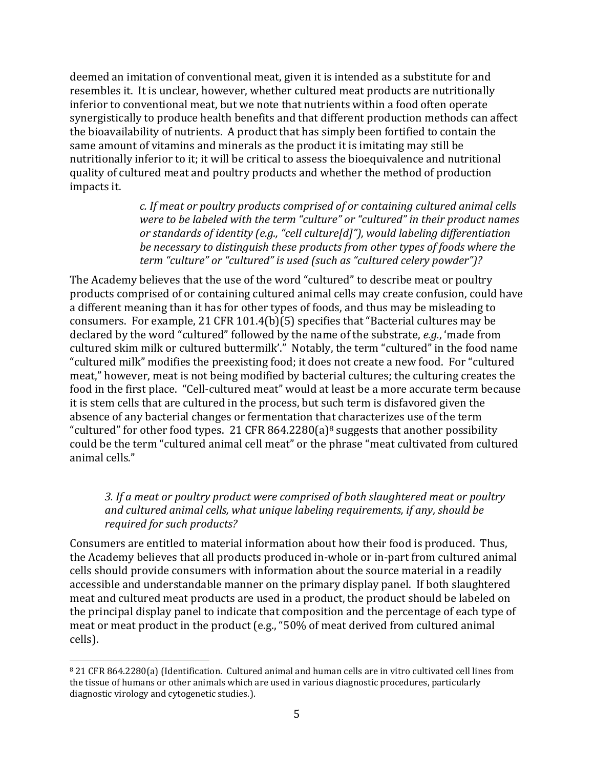deemed an imitation of conventional meat, given it is intended as a substitute for and resembles it. It is unclear, however, whether cultured meat products are nutritionally inferior to conventional meat, but we note that nutrients within a food often operate synergistically to produce health benefits and that different production methods can affect the bioavailability of nutrients. A product that has simply been fortified to contain the same amount of vitamins and minerals as the product it is imitating may still be nutritionally inferior to it; it will be critical to assess the bioequivalence and nutritional quality of cultured meat and poultry products and whether the method of production impacts it.

> *c. If meat or poultry products comprised of or containing cultured animal cells were to be labeled with the term "culture" or "cultured" in their product names or standards of identity (e.g., "cell culture[d]"), would labeling differentiation be necessary to distinguish these products from other types of foods where the term "culture" or "cultured" is used (such as "cultured celery powder")?*

The Academy believes that the use of the word "cultured" to describe meat or poultry products comprised of or containing cultured animal cells may create confusion, could have a different meaning than it has for other types of foods, and thus may be misleading to consumers. For example, 21 CFR 101.4(b)(5) specifies that "Bacterial cultures may be declared by the word "cultured" followed by the name of the substrate, *e.g.*, 'made from cultured skim milk or cultured buttermilk'." Notably, the term "cultured" in the food name "cultured milk" modifies the preexisting food; it does not create a new food. For "cultured meat," however, meat is not being modified by bacterial cultures; the culturing creates the food in the first place. "Cell-cultured meat" would at least be a more accurate term because it is stem cells that are cultured in the process, but such term is disfavored given the absence of any bacterial changes or fermentation that characterizes use of the term "cultured" for other food types. 21 CFR 864.2280(a)<sup>8</sup> suggests that another possibility could be the term "cultured animal cell meat" or the phrase "meat cultivated from cultured animal cells."

### *3. If a meat or poultry product were comprised of both slaughtered meat or poultry and cultured animal cells, what unique labeling requirements, if any, should be required for such products?*

Consumers are entitled to material information about how their food is produced. Thus, the Academy believes that all products produced in-whole or in-part from cultured animal cells should provide consumers with information about the source material in a readily accessible and understandable manner on the primary display panel. If both slaughtered meat and cultured meat products are used in a product, the product should be labeled on the principal display panel to indicate that composition and the percentage of each type of meat or meat product in the product (e.g., "50% of meat derived from cultured animal cells).

<sup>8</sup> 21 CFR 864.2280(a) (Identification. Cultured animal and human cells are in vitro cultivated cell lines from the tissue of humans or other animals which are used in various diagnostic procedures, particularly diagnostic virology and cytogenetic studies.).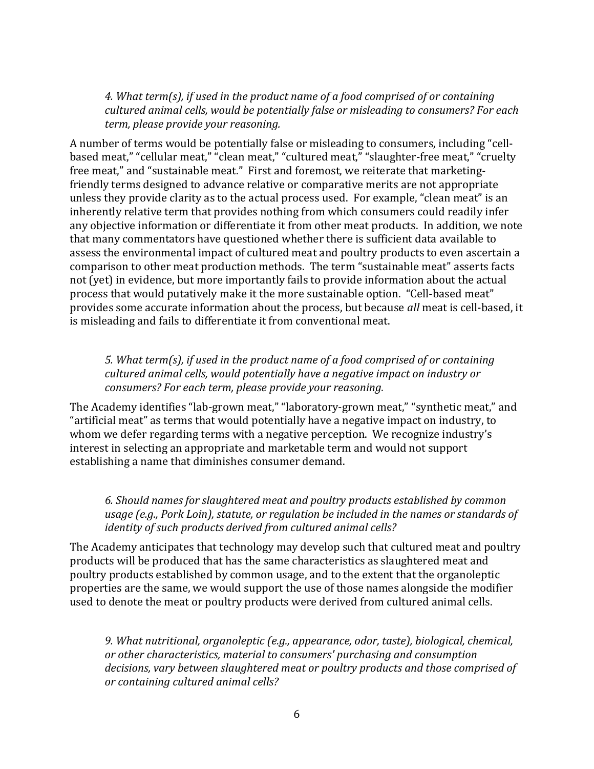*4. What term(s), if used in the product name of a food comprised of or containing cultured animal cells, would be potentially false or misleading to consumers? For each term, please provide your reasoning.*

A number of terms would be potentially false or misleading to consumers, including "cellbased meat," "cellular meat," "clean meat," "cultured meat," "slaughter-free meat," "cruelty free meat," and "sustainable meat." First and foremost, we reiterate that marketingfriendly terms designed to advance relative or comparative merits are not appropriate unless they provide clarity as to the actual process used. For example, "clean meat" is an inherently relative term that provides nothing from which consumers could readily infer any objective information or differentiate it from other meat products. In addition, we note that many commentators have questioned whether there is sufficient data available to assess the environmental impact of cultured meat and poultry products to even ascertain a comparison to other meat production methods. The term "sustainable meat" asserts facts not (yet) in evidence, but more importantly fails to provide information about the actual process that would putatively make it the more sustainable option. "Cell-based meat" provides some accurate information about the process, but because *all* meat is cell-based, it is misleading and fails to differentiate it from conventional meat.

*5. What term(s), if used in the product name of a food comprised of or containing cultured animal cells, would potentially have a negative impact on industry or consumers? For each term, please provide your reasoning.*

The Academy identifies "lab-grown meat," "laboratory-grown meat," "synthetic meat," and "artificial meat" as terms that would potentially have a negative impact on industry, to whom we defer regarding terms with a negative perception. We recognize industry's interest in selecting an appropriate and marketable term and would not support establishing a name that diminishes consumer demand.

*6. Should names for slaughtered meat and poultry products established by common usage (e.g., Pork Loin), statute, or regulation be included in the names or standards of identity of such products derived from cultured animal cells?*

The Academy anticipates that technology may develop such that cultured meat and poultry products will be produced that has the same characteristics as slaughtered meat and poultry products established by common usage, and to the extent that the organoleptic properties are the same, we would support the use of those names alongside the modifier used to denote the meat or poultry products were derived from cultured animal cells.

*9. What nutritional, organoleptic (e.g., appearance, odor, taste), biological, chemical, or other characteristics, material to consumers' purchasing and consumption decisions, vary between slaughtered meat or poultry products and those comprised of or containing cultured animal cells?*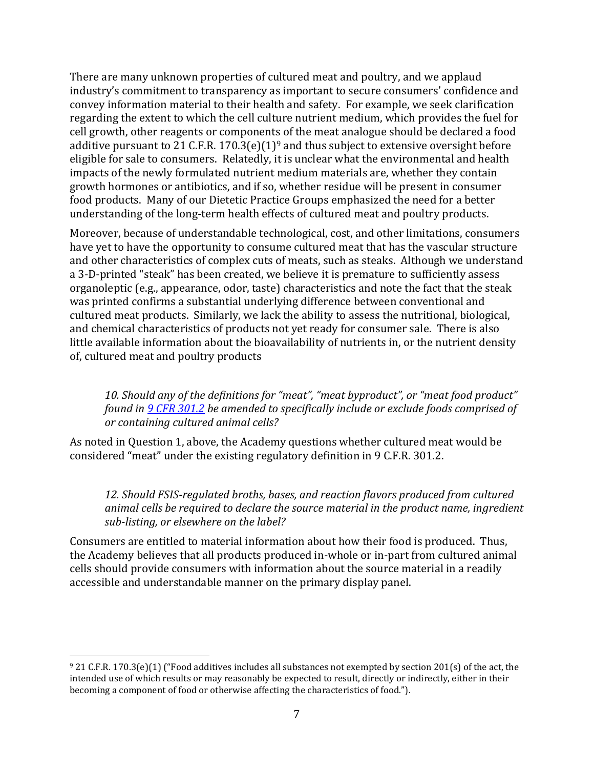There are many unknown properties of cultured meat and poultry, and we applaud industry's commitment to transparency as important to secure consumers' confidence and convey information material to their health and safety. For example, we seek clarification regarding the extent to which the cell culture nutrient medium, which provides the fuel for cell growth, other reagents or components of the meat analogue should be declared a food additive pursuant to 21 C.F.R. 170.3(e)(1)<sup>9</sup> and thus subject to extensive oversight before eligible for sale to consumers. Relatedly, it is unclear what the environmental and health impacts of the newly formulated nutrient medium materials are, whether they contain growth hormones or antibiotics, and if so, whether residue will be present in consumer food products. Many of our Dietetic Practice Groups emphasized the need for a better understanding of the long-term health effects of cultured meat and poultry products.

Moreover, because of understandable technological, cost, and other limitations, consumers have yet to have the opportunity to consume cultured meat that has the vascular structure and other characteristics of complex cuts of meats, such as steaks. Although we understand a 3-D-printed "steak" has been created, we believe it is premature to sufficiently assess organoleptic (e.g., appearance, odor, taste) characteristics and note the fact that the steak was printed confirms a substantial underlying difference between conventional and cultured meat products. Similarly, we lack the ability to assess the nutritional, biological, and chemical characteristics of products not yet ready for consumer sale. There is also little available information about the bioavailability of nutrients in, or the nutrient density of, cultured meat and poultry products

*10. Should any of the definitions for "meat", "meat byproduct", or "meat food product" found in [9 CFR 301.2](https://www.federalregister.gov/select-citation/2021/09/03/9-CFR-301.2) be amended to specifically include or exclude foods comprised of or containing cultured animal cells?*

As noted in Question 1, above, the Academy questions whether cultured meat would be considered "meat" under the existing regulatory definition in 9 C.F.R. 301.2.

*12. Should FSIS-regulated broths, bases, and reaction flavors produced from cultured animal cells be required to declare the source material in the product name, ingredient sub-listing, or elsewhere on the label?*

Consumers are entitled to material information about how their food is produced. Thus, the Academy believes that all products produced in-whole or in-part from cultured animal cells should provide consumers with information about the source material in a readily accessible and understandable manner on the primary display panel.

<sup>9</sup> 21 C.F.R. 170.3(e)(1) ("Food additives includes all substances not exempted by section 201(s) of the act, the intended use of which results or may reasonably be expected to result, directly or indirectly, either in their becoming a component of food or otherwise affecting the characteristics of food.").